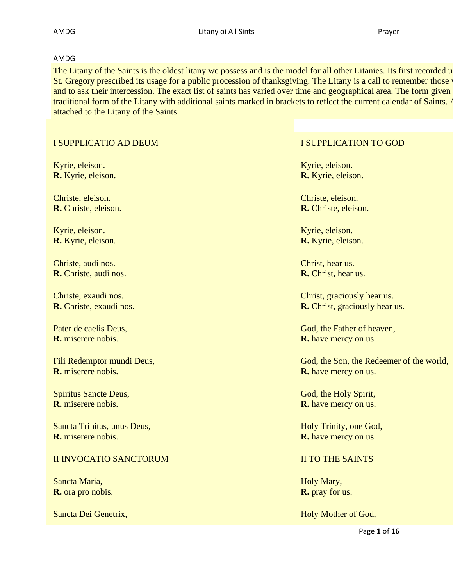### AMDG

The Litany of the Saints is the oldest litany we possess and is the model for all other Litanies. Its first recorded u St. Gregory prescribed its usage for a public procession of thanksgiving. The Litany is a call to remember those and to ask their intercession. The exact list of saints has varied over time and geographical area. The form given traditional form of the Litany with additional saints marked in brackets to reflect the current calendar of Saints. A attached to the Litany of the Saints.

## I SUPPLICATIO AD DEUM **I SUPPLICATION TO GOD**

Kyrie, eleison. **R.** Kyrie, eleison.

Christe, eleison. **R.** Christe, eleison.

Kyrie, eleison. **R.** Kyrie, eleison.

Christe, audi nos. **R.** Christe, audi nos.

Christe, exaudi nos. **R.** Christe, exaudi nos.

Pater de caelis Deus, **R.** miserere nobis.

Fili Redemptor mundi Deus, **R.** miserere nobis.

Spiritus Sancte Deus, **R.** miserere nobis.

Sancta Trinitas, unus Deus, **R.** miserere nobis.

## **II INVOCATIO SANCTORUM II TO THE SAINTS**

Sancta Maria, **R.** ora pro nobis.

Kyrie, eleison. **R.** Kyrie, eleison.

Christe, eleison. **R.** Christe, eleison.

Kyrie, eleison. **R.** Kyrie, eleison.

Christ, hear us. **R.** Christ, hear us.

Christ, graciously hear us. **R.** Christ, graciously hear us.

God, the Father of heaven, **R.** have mercy on us.

God, the Son, the Redeemer of the world, **R.** have mercy on us.

God, the Holy Spirit, **R.** have mercy on us.

Holy Trinity, one God, **R.** have mercy on us.

Holy Mary, **R.** pray for us.

Sancta Dei Genetrix, and the same state of God, Holy Mother of God,

Page **1** of **16**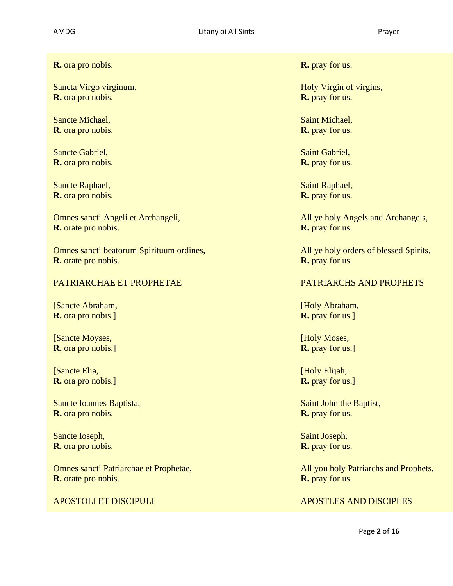**R.** ora pro nobis. **R.** pray for us.

Sancta Virgo virginum, **R.** ora pro nobis.

Sancte Michael, **R.** ora pro nobis.

Sancte Gabriel, **R.** ora pro nobis.

Sancte Raphael, **R.** ora pro nobis.

Omnes sancti Angeli et Archangeli, **R.** orate pro nobis.

Omnes sancti beatorum Spirituum ordines, **R.** orate pro nobis.

## PATRIARCHAE ET PROPHETAE PATRIARCHS AND PROPHETS

[Sancte Abraham, **R.** ora pro nobis.]

[Sancte Moyses, **R.** ora pro nobis.]

[Sancte Elia, **R.** ora pro nobis.]

Sancte Ioannes Baptista, **R.** ora pro nobis.

Sancte Ioseph, **R.** ora pro nobis.

Omnes sancti Patriarchae et Prophetae, **R.** orate pro nobis.

Holy Virgin of virgins, **R.** pray for us.

Saint Michael, **R.** pray for us.

Saint Gabriel, **R.** pray for us.

Saint Raphael, **R.** pray for us.

All ye holy Angels and Archangels, **R.** pray for us.

All ye holy orders of blessed Spirits, **R.** pray for us.

[Holy Abraham, **R.** pray for us.]

[Holy Moses, **R.** pray for us.]

[Holy Elijah, **R.** pray for us.]

Saint John the Baptist, **R.** pray for us.

Saint Joseph, **R.** pray for us.

All you holy Patriarchs and Prophets, **R.** pray for us.

## APOSTOLI ET DISCIPULI APOSTLES AND DISCIPLES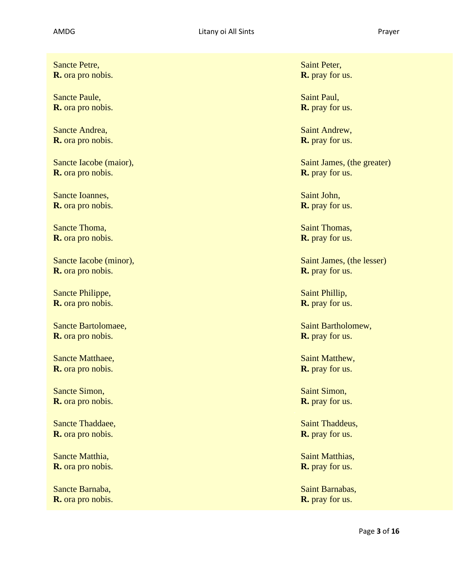Sancte Petre, **R.** ora pro nobis.

Sancte Paule, **R.** ora pro nobis.

Sancte Andrea, **R.** ora pro nobis.

Sancte Iacobe (maior), **R.** ora pro nobis.

Sancte Ioannes, **R.** ora pro nobis.

Sancte Thoma, **R.** ora pro nobis.

Sancte Iacobe (minor), **R.** ora pro nobis.

Sancte Philippe, **R.** ora pro nobis.

Sancte Bartolomaee, **R.** ora pro nobis.

Sancte Matthaee, **R.** ora pro nobis.

Sancte Simon, **R.** ora pro nobis.

Sancte Thaddaee, **R.** ora pro nobis.

Sancte Matthia, **R.** ora pro nobis.

Sancte Barnaba, **R.** ora pro nobis. Saint Peter, **R.** pray for us.

Saint Paul, **R.** pray for us.

Saint Andrew, **R.** pray for us.

Saint James, (the greater) **R.** pray for us.

Saint John, **R.** pray for us.

Saint Thomas, **R.** pray for us.

Saint James, (the lesser) **R.** pray for us.

Saint Phillip, **R.** pray for us.

Saint Bartholomew, **R.** pray for us.

Saint Matthew, **R.** pray for us.

Saint Simon, **R.** pray for us.

Saint Thaddeus, **R.** pray for us.

Saint Matthias, **R.** pray for us.

Saint Barnabas, **R.** pray for us.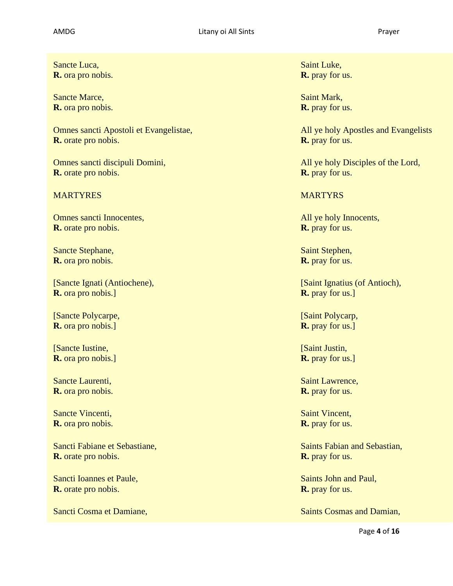Sancte Luca, **R.** ora pro nobis.

Sancte Marce, **R.** ora pro nobis.

Omnes sancti Apostoli et Evangelistae, **R.** orate pro nobis.

Omnes sancti discipuli Domini, **R.** orate pro nobis.

## MARTYRES **MARTYRES MARTYRS**

Omnes sancti Innocentes, **R.** orate pro nobis.

Sancte Stephane, **R.** ora pro nobis.

[Sancte Ignati (Antiochene), **R.** ora pro nobis.]

[Sancte Polycarpe, **R.** ora pro nobis.]

[Sancte Iustine, **R.** ora pro nobis.]

Sancte Laurenti, **R.** ora pro nobis.

Sancte Vincenti, **R.** ora pro nobis.

Sancti Fabiane et Sebastiane, **R.** orate pro nobis.

Sancti Ioannes et Paule, **R.** orate pro nobis.

Saint Luke, **R.** pray for us.

Saint Mark, **R.** pray for us.

All ye holy Apostles and Evangelists **R.** pray for us.

All ye holy Disciples of the Lord, **R.** pray for us.

All ye holy Innocents, **R.** pray for us.

Saint Stephen, **R.** pray for us.

[Saint Ignatius (of Antioch), **R.** pray for us.]

[Saint Polycarp, **R.** pray for us.]

[Saint Justin, **R.** pray for us.]

Saint Lawrence, **R.** pray for us.

Saint Vincent, **R.** pray for us.

Saints Fabian and Sebastian, **R.** pray for us.

Saints John and Paul, **R.** pray for us.

Sancti Cosma et Damiane, Saints Cosmas and Damian,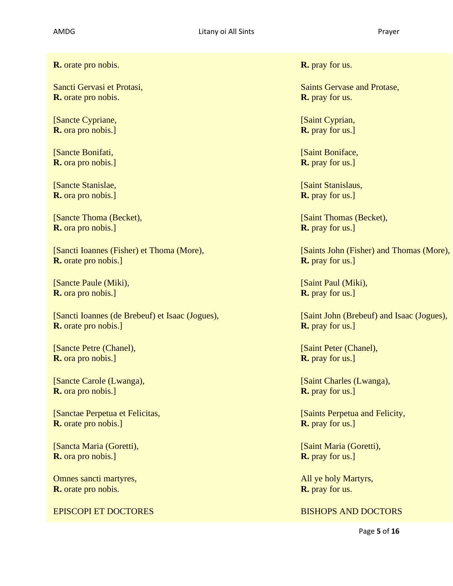**R.** orate pro nobis. **R.** pray for us.

Sancti Gervasi et Protasi, **R.** orate pro nobis.

[Sancte Cypriane, **R.** ora pro nobis.]

[Sancte Bonifati, **R.** ora pro nobis.]

[Sancte Stanislae, **R.** ora pro nobis.]

[Sancte Thoma (Becket), **R.** ora pro nobis.]

[Sancti Ioannes (Fisher) et Thoma (More), **R.** orate pro nobis.]

[Sancte Paule (Miki), **R.** ora pro nobis.]

[Sancti Ioannes (de Brebeuf) et Isaac (Jogues), **R.** orate pro nobis.]

[Sancte Petre (Chanel), **R.** ora pro nobis.]

[Sancte Carole (Lwanga), **R.** ora pro nobis.]

[Sanctae Perpetua et Felicitas, **R.** orate pro nobis.]

[Sancta Maria (Goretti), **R.** ora pro nobis.]

Omnes sancti martyres, **R.** orate pro nobis.

**EPISCOPI ET DOCTORES** BISHOPS AND DOCTORS

Saints Gervase and Protase, **R.** pray for us.

[Saint Cyprian, **R.** pray for us.]

[Saint Boniface, **R.** pray for us.]

[Saint Stanislaus, **R.** pray for us.]

[Saint Thomas (Becket), **R.** pray for us.]

[Saints John (Fisher) and Thomas (More), **R.** pray for us.]

[Saint Paul (Miki), **R.** pray for us.]

[Saint John (Brebeuf) and Isaac (Jogues), **R.** pray for us.]

[Saint Peter (Chanel), **R.** pray for us.]

[Saint Charles (Lwanga), **R.** pray for us.]

[Saints Perpetua and Felicity, **R.** pray for us.]

[Saint Maria (Goretti), **R.** pray for us.]

All ye holy Martyrs, **R.** pray for us.

Page **5** of **16**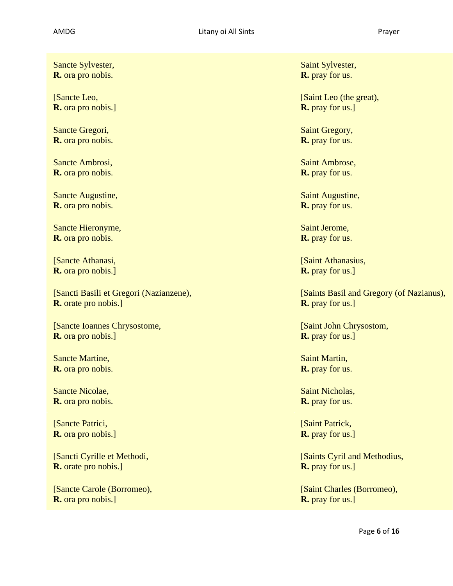Sancte Sylvester, **R.** ora pro nobis.

[Sancte Leo, **R.** ora pro nobis.]

Sancte Gregori, **R.** ora pro nobis.

Sancte Ambrosi, **R.** ora pro nobis.

Sancte Augustine, **R.** ora pro nobis.

Sancte Hieronyme, **R.** ora pro nobis.

[Sancte Athanasi, **R.** ora pro nobis.]

[Sancti Basili et Gregori (Nazianzene), **R.** orate pro nobis.]

[Sancte Ioannes Chrysostome, **R.** ora pro nobis.]

Sancte Martine, **R.** ora pro nobis.

Sancte Nicolae, **R.** ora pro nobis.

[Sancte Patrici, **R.** ora pro nobis.]

[Sancti Cyrille et Methodi, **R.** orate pro nobis.]

[Sancte Carole (Borromeo), **R.** ora pro nobis.]

Saint Sylvester, **R.** pray for us.

[Saint Leo (the great), **R.** pray for us.]

Saint Gregory, **R.** pray for us.

Saint Ambrose, **R.** pray for us.

Saint Augustine, **R.** pray for us.

Saint Jerome, **R.** pray for us.

[Saint Athanasius, **R.** pray for us.]

[Saints Basil and Gregory (of Nazianus), **R.** pray for us.]

[Saint John Chrysostom, **R.** pray for us.]

Saint Martin, **R.** pray for us.

Saint Nicholas, **R.** pray for us.

[Saint Patrick, **R.** pray for us.]

[Saints Cyril and Methodius, **R.** pray for us.]

[Saint Charles (Borromeo), **R.** pray for us.]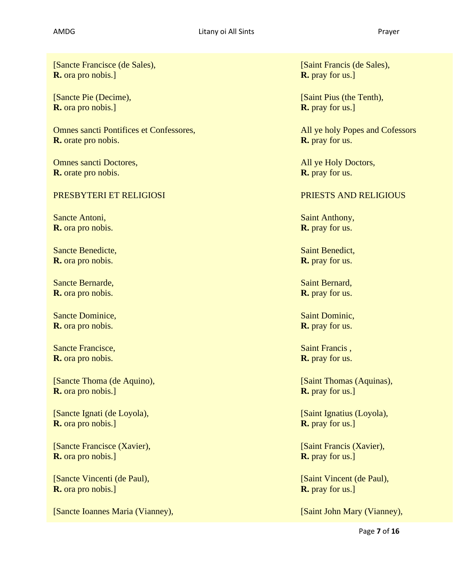[Sancte Francisce (de Sales), **R.** ora pro nobis.]

[Sancte Pie (Decime), **R.** ora pro nobis.]

Omnes sancti Pontifices et Confessores, **R.** orate pro nobis.

Omnes sancti Doctores, **R.** orate pro nobis.

# PRESBYTERI ET RELIGIOSI PRIESTS AND RELIGIOUS

Sancte Antoni, **R.** ora pro nobis.

Sancte Benedicte, **R.** ora pro nobis.

Sancte Bernarde, **R.** ora pro nobis.

Sancte Dominice, **R.** ora pro nobis.

Sancte Francisce, **R.** ora pro nobis.

[Sancte Thoma (de Aquino), **R.** ora pro nobis.]

[Sancte Ignati (de Loyola), **R.** ora pro nobis.]

[Sancte Francisce (Xavier), **R.** ora pro nobis.]

[Sancte Vincenti (de Paul), **R.** ora pro nobis.]

[Sancte Ioannes Maria (Vianney), [Saint John Mary (Vianney),

[Saint Francis (de Sales), **R.** pray for us.]

[Saint Pius (the Tenth), **R.** pray for us.]

All ye holy Popes and Cofessors **R.** pray for us.

All ye Holy Doctors, **R.** pray for us.

Saint Anthony, **R.** pray for us.

Saint Benedict, **R.** pray for us.

Saint Bernard, **R.** pray for us.

Saint Dominic, **R.** pray for us.

Saint Francis , **R.** pray for us.

[Saint Thomas (Aquinas), **R.** pray for us.]

[Saint Ignatius (Loyola), **R.** pray for us.]

[Saint Francis (Xavier), **R.** pray for us.]

[Saint Vincent (de Paul), **R.** pray for us.]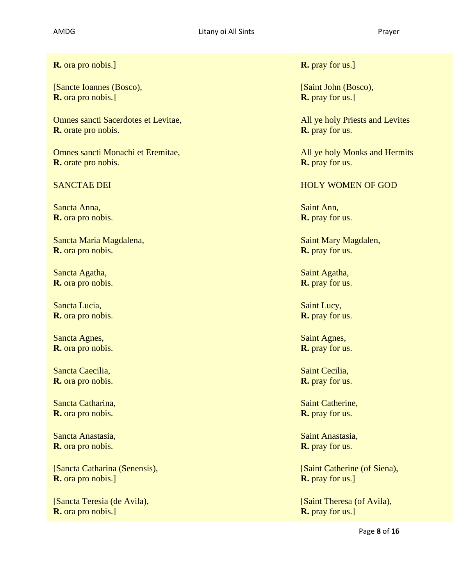**R.** ora pro nobis.] **R.** pray for us.]

[Sancte Ioannes (Bosco), **R.** ora pro nobis.]

Omnes sancti Sacerdotes et Levitae, **R.** orate pro nobis.

Omnes sancti Monachi et Eremitae, **R.** orate pro nobis.

Sancta Anna, **R.** ora pro nobis.

Sancta Maria Magdalena, **R.** ora pro nobis.

Sancta Agatha, **R.** ora pro nobis.

Sancta Lucia, **R.** ora pro nobis.

Sancta Agnes, **R.** ora pro nobis.

Sancta Caecilia, **R.** ora pro nobis.

Sancta Catharina, **R.** ora pro nobis.

Sancta Anastasia, **R.** ora pro nobis.

[Sancta Catharina (Senensis), **R.** ora pro nobis.]

[Sancta Teresia (de Avila), **R.** ora pro nobis.]

[Saint John (Bosco), **R.** pray for us.]

All ye holy Priests and Levites **R.** pray for us.

All ye holy Monks and Hermits **R.** pray for us.

### SANCTAE DEI THE GROUP OF GOD THE HOLY WOMEN OF GOD

Saint Ann, **R.** pray for us.

Saint Mary Magdalen, **R.** pray for us.

Saint Agatha, **R.** pray for us.

Saint Lucy, **R.** pray for us.

Saint Agnes, **R.** pray for us.

Saint Cecilia, **R.** pray for us.

Saint Catherine, **R.** pray for us.

Saint Anastasia, **R.** pray for us.

[Saint Catherine (of Siena), **R.** pray for us.]

[Saint Theresa (of Avila), **R.** pray for us.]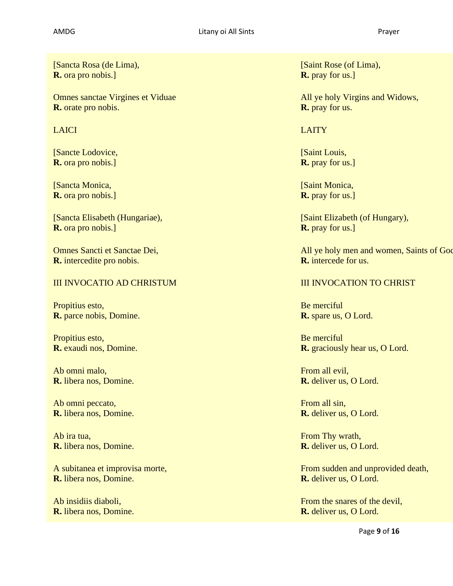[Sancta Rosa (de Lima), **R.** ora pro nobis.]

Omnes sanctae Virgines et Viduae **R.** orate pro nobis.

[Sancte Lodovice, **R.** ora pro nobis.]

[Sancta Monica, **R.** ora pro nobis.]

[Sancta Elisabeth (Hungariae), **R.** ora pro nobis.]

Omnes Sancti et Sanctae Dei, **R.** intercedite pro nobis.

# III INVOCATIO AD CHRISTUM III INVOCATION TO CHRIST

Propitius esto, **R.** parce nobis, Domine.

Propitius esto, **R.** exaudi nos, Domine.

Ab omni malo, **R.** libera nos, Domine.

Ab omni peccato, **R.** libera nos, Domine.

Ab ira tua, **R.** libera nos, Domine.

A subitanea et improvisa morte, **R.** libera nos, Domine.

Ab insidiis diaboli, **R.** libera nos, Domine. [Saint Rose (of Lima), **R.** pray for us.]

All ye holy Virgins and Widows, **R.** pray for us.

LAICI **LAICI CHARLAICHEAN CHR** 

[Saint Louis, **R.** pray for us.]

[Saint Monica, **R.** pray for us.]

[Saint Elizabeth (of Hungary), **R.** pray for us.]

All ye holy men and women, Saints of God **R.** intercede for us.

Be merciful **R.** spare us, O Lord.

Be merciful **R.** graciously hear us, O Lord.

From all evil, **R.** deliver us, O Lord.

From all sin, **R.** deliver us, O Lord.

From Thy wrath, **R.** deliver us, O Lord.

From sudden and unprovided death, **R.** deliver us, O Lord.

From the snares of the devil, **R.** deliver us, O Lord.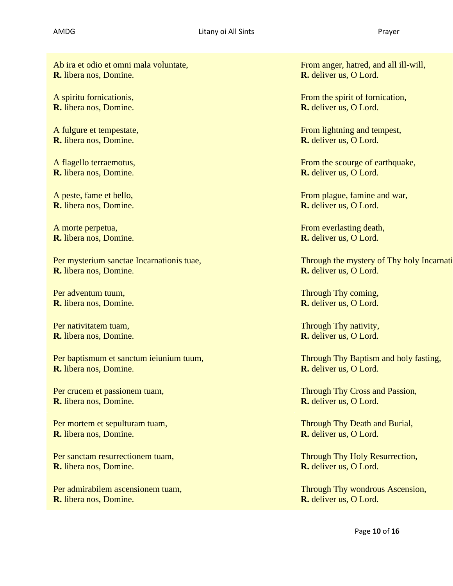Ab ira et odio et omni mala voluntate, **R.** libera nos, Domine.

A spiritu fornicationis, **R.** libera nos, Domine.

A fulgure et tempestate, **R.** libera nos, Domine.

A flagello terraemotus, **R.** libera nos, Domine.

A peste, fame et bello, **R.** libera nos, Domine.

A morte perpetua, **R.** libera nos, Domine.

Per mysterium sanctae Incarnationis tuae, **R.** libera nos, Domine.

Per adventum tuum, **R.** libera nos, Domine.

Per nativitatem tuam, **R.** libera nos, Domine.

Per baptismum et sanctum ieiunium tuum, **R.** libera nos, Domine.

Per crucem et passionem tuam, **R.** libera nos, Domine.

Per mortem et sepulturam tuam, **R.** libera nos, Domine.

Per sanctam resurrectionem tuam, **R.** libera nos, Domine.

Per admirabilem ascensionem tuam, **R.** libera nos, Domine.

From anger, hatred, and all ill-will, **R.** deliver us, O Lord.

From the spirit of fornication, **R.** deliver us, O Lord.

From lightning and tempest, **R.** deliver us, O Lord.

From the scourge of earthquake, **R.** deliver us, O Lord.

From plague, famine and war, **R.** deliver us, O Lord.

From everlasting death, **R.** deliver us, O Lord.

Through the mystery of Thy holy Incarnation **R.** deliver us, O Lord.

Through Thy coming, **R.** deliver us, O Lord.

Through Thy nativity, **R.** deliver us, O Lord.

Through Thy Baptism and holy fasting, **R.** deliver us, O Lord.

Through Thy Cross and Passion, **R.** deliver us, O Lord.

Through Thy Death and Burial, **R.** deliver us, O Lord.

Through Thy Holy Resurrection, **R.** deliver us, O Lord.

Through Thy wondrous Ascension, **R.** deliver us, O Lord.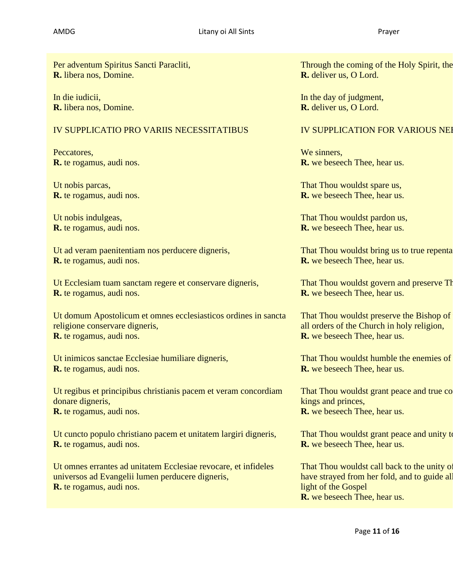Per adventum Spiritus Sancti Paracliti, **R.** libera nos, Domine.

In die iudicii, **R.** libera nos, Domine.

# IV SUPPLICATIO PRO VARIIS NECESSITATIBUS IV SUPPLICATION FOR VARIOUS NEI

Peccatores, **R.** te rogamus, audi nos.

Ut nobis parcas, **R.** te rogamus, audi nos.

Ut nobis indulgeas, **R.** te rogamus, audi nos.

Ut ad veram paenitentiam nos perducere digneris, **R.** te rogamus, audi nos.

Ut Ecclesiam tuam sanctam regere et conservare digneris, **R.** te rogamus, audi nos.

Ut domum Apostolicum et omnes ecclesiasticos ordines in sancta religione conservare digneris, **R.** te rogamus, audi nos.

Ut inimicos sanctae Ecclesiae humiliare digneris, **R.** te rogamus, audi nos.

Ut regibus et principibus christianis pacem et veram concordiam donare digneris, **R.** te rogamus, audi nos.

Ut cuncto populo christiano pacem et unitatem largiri digneris, **R.** te rogamus, audi nos.

Ut omnes errantes ad unitatem Ecclesiae revocare, et infideles universos ad Evangelii lumen perducere digneris, **R.** te rogamus, audi nos.

Through the coming of the Holy Spirit, the **R.** deliver us, O Lord.

In the day of judgment, **R.** deliver us, O Lord.

We sinners. **R.** we beseech Thee, hear us.

That Thou wouldst spare us, **R.** we beseech Thee, hear us.

That Thou wouldst pardon us, **R.** we beseech Thee, hear us.

That Thou wouldst bring us to true repentance. **R.** we beseech Thee, hear us.

That Thou wouldst govern and preserve Th **R.** we beseech Thee, hear us.

That Thou wouldst preserve the Bishop of all orders of the Church in holy religion, **R.** we beseech Thee, hear us.

That Thou wouldst humble the enemies of **R.** we beseech Thee, hear us.

That Thou wouldst grant peace and true concrete to Christian to Christian to Christian That Thou kings and princes, **R.** we beseech Thee, hear us.

That Thou wouldst grant peace and unity to **R.** we beseech Thee, hear us.

That Thou wouldst call back to the unity of have strayed from her fold, and to guide all light of the Gospel **R.** we beseech Thee, hear us.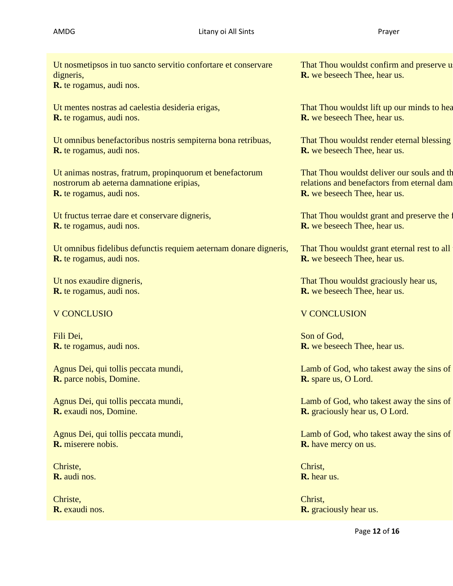Ut nosmetipsos in tuo sancto servitio confortare et conservare digneris,

**R.** te rogamus, audi nos.

Ut mentes nostras ad caelestia desideria erigas, **R.** te rogamus, audi nos.

Ut omnibus benefactoribus nostris sempiterna bona retribuas, **R.** te rogamus, audi nos.

Ut animas nostras, fratrum, propinquorum et benefactorum nostrorum ab aeterna damnatione eripias, **R.** te rogamus, audi nos.

Ut fructus terrae dare et conservare digneris, **R.** te rogamus, audi nos.

Ut omnibus fidelibus defunctis requiem aeternam donare digneris, **R.** te rogamus, audi nos.

Ut nos exaudire digneris, **R.** te rogamus, audi nos.

Fili Dei, **R.** te rogamus, audi nos.

Agnus Dei, qui tollis peccata mundi, **R.** parce nobis, Domine.

Agnus Dei, qui tollis peccata mundi, **R.** exaudi nos, Domine.

Agnus Dei, qui tollis peccata mundi, **R.** miserere nobis.

Christe, **R.** audi nos.

Christe, **R.** exaudi nos. That Thou wouldst confirm and preserve u **R.** we beseech Thee, hear us.

That Thou wouldst lift up our minds to hear-**R.** we beseech Thee, hear us.

That Thou wouldst render eternal blessing **R.** we beseech Thee, hear us.

That Thou wouldst deliver our souls and the relations and benefactors from eternal dam **R.** we beseech Thee, hear us.

That Thou wouldst grant and preserve the f **R.** we beseech Thee, hear us.

That Thou wouldst grant eternal rest to all **R.** we beseech Thee, hear us.

That Thou wouldst graciously hear us, **R.** we beseech Thee, hear us.

## V CONCLUSIO V CONCLUSION

Son of God, **R.** we beseech Thee, hear us.

Lamb of God, who takest away the sins of **R.** spare us, O Lord.

Lamb of God, who takest away the sins of **R.** graciously hear us, O Lord.

Lamb of God, who takest away the sins of **R.** have mercy on us.

Christ, **R.** hear us.

Christ, **R.** graciously hear us.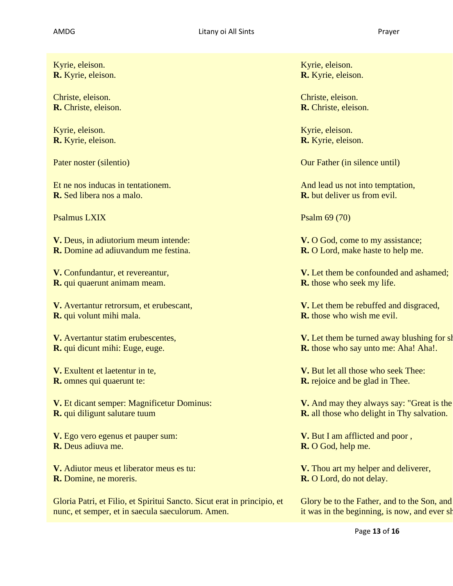| Kyrie, eleison.                                                         | Kyrie, eleison.                                   |
|-------------------------------------------------------------------------|---------------------------------------------------|
| R. Kyrie, eleison.                                                      | <b>R.</b> Kyrie, eleison.                         |
| Christe, eleison.                                                       | Christe, eleison.                                 |
| R. Christe, eleison.                                                    | R. Christe, eleison.                              |
| Kyrie, eleison.                                                         | Kyrie, eleison.                                   |
| R. Kyrie, eleison.                                                      | R. Kyrie, eleison.                                |
| Pater noster (silentio)                                                 | Our Father (in silence until)                     |
| Et ne nos inducas in tentationem.                                       | And lead us not into temptation,                  |
| R. Sed libera nos a malo.                                               | <b>R.</b> but deliver us from evil.               |
| <b>Psalmus LXIX</b>                                                     | Psalm 69 (70)                                     |
| V. Deus, in adiutorium meum intende:                                    | V. O God, come to my assistance;                  |
| <b>R.</b> Domine ad adiuvandum me festina.                              | <b>R.</b> O Lord, make haste to help me.          |
| V. Confundantur, et revereantur,                                        | V. Let them be confounded and ashamed;            |
| R. qui quaerunt animam meam.                                            | <b>R.</b> those who seek my life.                 |
| V. Avertantur retrorsum, et erubescant,                                 | V. Let them be rebuffed and disgraced,            |
| R. qui volunt mihi mala.                                                | <b>R.</b> those who wish me evil.                 |
| V. Avertantur statim erubescentes,                                      | V. Let them be turned away blushing for sh        |
| <b>R.</b> qui dicunt mihi: Euge, euge.                                  | <b>R.</b> those who say unto me: Aha! Aha!.       |
| V. Exultent et laetentur in te,                                         | V. But let all those who seek Thee:               |
| R. omnes qui quaerunt te:                                               | <b>R.</b> rejoice and be glad in Thee.            |
| V. Et dicant semper: Magnificetur Dominus:                              | V. And may they always say: "Great is the         |
| R. qui diligunt salutare tuum                                           | <b>R.</b> all those who delight in Thy salvation. |
| V. Ego vero egenus et pauper sum:                                       | V. But I am afflicted and poor,                   |
| R. Deus adiuva me.                                                      | R. O God, help me.                                |
| V. Adiutor meus et liberator meus es tu:                                | V. Thou art my helper and deliverer,              |
| <b>R.</b> Domine, ne moreris.                                           | R. O Lord, do not delay.                          |
| Gloria Patri, et Filio, et Spiritui Sancto. Sicut erat in principio, et | Glory be to the Father, and to the Son, and       |
| nunc, et semper, et in saecula saeculorum. Amen.                        | it was in the beginning, is now, and ever sh      |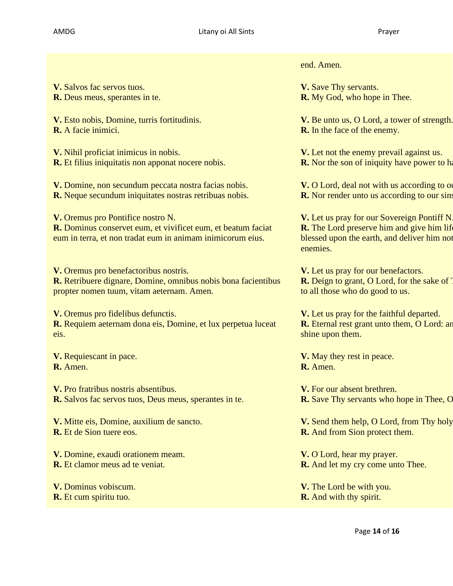**V.** Salvos fac servos tuos. **R.** Deus meus, sperantes in te.

**V.** Esto nobis, Domine, turris fortitudinis. **R.** A facie inimici.

**V.** Nihil proficiat inimicus in nobis. **R.** Et filius iniquitatis non apponat nocere nobis.

**V.** Domine, non secundum peccata nostra facias nobis. **R.** Neque secundum iniquitates nostras retribuas nobis.

**V.** Oremus pro Pontifice nostro N.

**R.** Dominus conservet eum, et vivificet eum, et beatum faciat eum in terra, et non tradat eum in animam inimicorum eius.

**V.** Oremus pro benefactoribus nostris. **R.** Retribuere dignare, Domine, omnibus nobis bona facientibus propter nomen tuum, vitam aeternam. Amen.

**V.** Oremus pro fidelibus defunctis. **R.** Requiem aeternam dona eis, Domine, et lux perpetua luceat eis.

**V.** Requiescant in pace. **R.** Amen.

**V.** Pro fratribus nostris absentibus. **R.** Salvos fac servos tuos, Deus meus, sperantes in te.

**V.** Mitte eis, Domine, auxilium de sancto. **R.** Et de Sion tuere eos.

**V.** Domine, exaudi orationem meam. **R.** Et clamor meus ad te veniat.

**V.** Dominus vobiscum. **R.** Et cum spiritu tuo.

end. Amen.

**V.** Save Thy servants. **R.** My God, who hope in Thee.

**V.** Be unto us, O Lord, a tower of strength. **R.** In the face of the enemy.

**V.** Let not the enemy prevail against us. **R.** Nor the son of iniquity have power to have

**V.** O Lord, deal not with us according to or **R.** Nor render unto us according to our sins.

**V.** Let us pray for our Sovereign Pontiff N. **R.** The Lord preserve him and give him lif blessed upon the earth, and deliver him not enemies.

**V.** Let us pray for our benefactors. **R.** Deign to grant, O Lord, for the sake of T to all those who do good to us.

**V.** Let us pray for the faithful departed. **R.** Eternal rest grant unto them, O Lord: and shine upon them.

**V.** May they rest in peace. **R.** Amen.

**V.** For our absent brethren. **R.** Save Thy servants who hope in Thee, O

**V.** Send them help, O Lord, from Thy holy **R.** And from Sion protect them.

**V.** O Lord, hear my prayer. **R.** And let my cry come unto Thee.

**V.** The Lord be with you. **R.** And with thy spirit.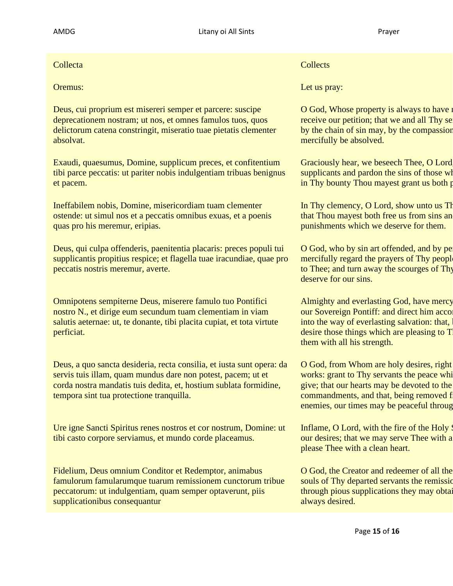Deus, cui proprium est misereri semper et parcere: suscipe deprecationem nostram; ut nos, et omnes famulos tuos, quos delictorum catena constringit, miseratio tuae pietatis clementer absolvat.

Exaudi, quaesumus, Domine, supplicum preces, et confitentium tibi parce peccatis: ut pariter nobis indulgentiam tribuas benignus et pacem.

Ineffabilem nobis, Domine, misericordiam tuam clementer ostende: ut simul nos et a peccatis omnibus exuas, et a poenis quas pro his meremur, eripias.

Deus, qui culpa offenderis, paenitentia placaris: preces populi tui supplicantis propitius respice; et flagella tuae iracundiae, quae pro peccatis nostris meremur, averte.

Omnipotens sempiterne Deus, miserere famulo tuo Pontifici nostro N., et dirige eum secundum tuam clementiam in viam salutis aeternae: ut, te donante, tibi placita cupiat, et tota virtute perficiat.

Deus, a quo sancta desideria, recta consilia, et iusta sunt opera: da servis tuis illam, quam mundus dare non potest, pacem; ut et corda nostra mandatis tuis dedita, et, hostium sublata formidine, tempora sint tua protectione tranquilla.

Ure igne Sancti Spiritus renes nostros et cor nostrum, Domine: ut tibi casto corpore serviamus, et mundo corde placeamus.

Fidelium, Deus omnium Conditor et Redemptor, animabus famulorum famularumque tuarum remissionem cunctorum tribue peccatorum: ut indulgentiam, quam semper optaverunt, piis supplicationibus consequantur

**Collecta** Collecta Collection Collection Collection Collection Collection Collection Collection Collection Collection Collection Collection Collection Collection Collection Collection Collection Collection Collection Coll

**Oremus:** Let us pray: Let us pray:

O God, Whose property is always to have receive our petition; that we and all Thy servants who are bounded as  $\frac{d}{dx}$ by the chain of sin may, by the compassion mercifully be absolved.

Graciously hear, we beseech Thee, O Lord supplicants and pardon the sins of those who in Thy bounty Thou mayest grant us both parties.

In Thy clemency, O Lord, show unto us Theorem in the inequality mercy;  $\sigma$  is integral mercy; in that Thou mayest both free us from sins an punishments which we deserve for them.

O God, who by sin art offended, and by pe mercifully regard the prayers of Thy people to Thee; and turn away the scourges of Thy deserve for our sins.

Almighty and everlasting God, have mercy our Sovereign Pontiff: and direct him acco into the way of everlasting salvation: that, desire those things which are pleasing to T them with all his strength.

O God, from Whom are holy desires, right works: grant to Thy servants the peace white give; that our hearts may be devoted to the commandments, and that, being removed from the fear of our the fear of  $f$ enemies, our times may be peaceful through  $\overline{P}$ 

Inflame, O Lord, with the fire of the Holy  $\beta$ our desires; that we may serve Thee with a please Thee with a clean heart.

O God, the Creator and redeemer of all the souls of Thy departed servants the remission through pious supplications they may obtain always desired.